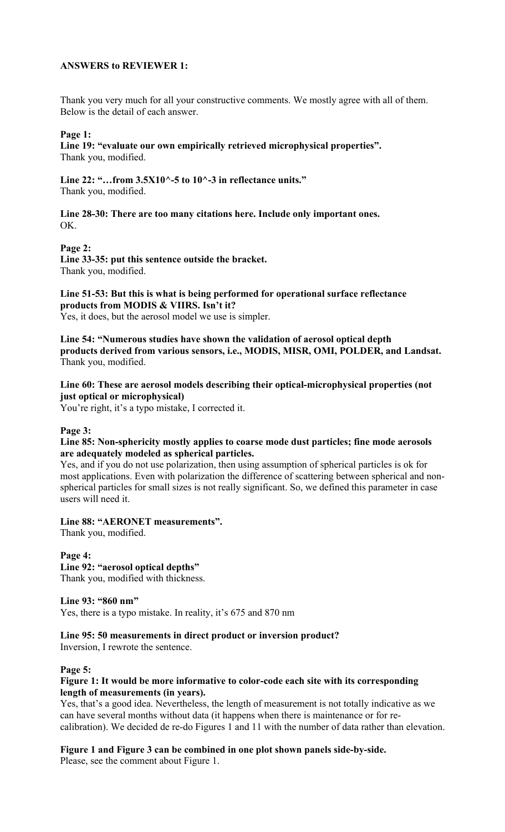# **ANSWERS to REVIEWER 1:**

Thank you very much for all your constructive comments. We mostly agree with all of them. Below is the detail of each answer.

# **Page 1:**

**Line 19: "evaluate our own empirically retrieved microphysical properties".** Thank you, modified.

**Line 22: "…from 3.5X10^-5 to 10^-3 in reflectance units."** Thank you, modified.

**Line 28-30: There are too many citations here. Include only important ones.** OK.

**Page 2:**

**Line 33-35: put this sentence outside the bracket.** Thank you, modified.

**Line 51-53: But this is what is being performed for operational surface reflectance products from MODIS & VIIRS. Isn't it?** Yes, it does, but the aerosol model we use is simpler.

**Line 54: "Numerous studies have shown the validation of aerosol optical depth products derived from various sensors, i.e., MODIS, MISR, OMI, POLDER, and Landsat.** Thank you, modified.

**Line 60: These are aerosol models describing their optical-microphysical properties (not just optical or microphysical)**

You're right, it's a typo mistake, I corrected it.

### **Page 3:**

**Line 85: Non-sphericity mostly applies to coarse mode dust particles; fine mode aerosols are adequately modeled as spherical particles.**

Yes, and if you do not use polarization, then using assumption of spherical particles is ok for most applications. Even with polarization the difference of scattering between spherical and nonspherical particles for small sizes is not really significant. So, we defined this parameter in case users will need it.

**Line 88: "AERONET measurements".**

Thank you, modified.

**Page 4: Line 92: "aerosol optical depths"** Thank you, modified with thickness.

**Line 93: "860 nm"**

Yes, there is a typo mistake. In reality, it's 675 and 870 nm

**Line 95: 50 measurements in direct product or inversion product?**

Inversion, I rewrote the sentence.

### **Page 5:**

### **Figure 1: It would be more informative to color-code each site with its corresponding length of measurements (in years).**

Yes, that's a good idea. Nevertheless, the length of measurement is not totally indicative as we can have several months without data (it happens when there is maintenance or for recalibration). We decided de re-do Figures 1 and 11 with the number of data rather than elevation.

**Figure 1 and Figure 3 can be combined in one plot shown panels side-by-side.** Please, see the comment about Figure 1.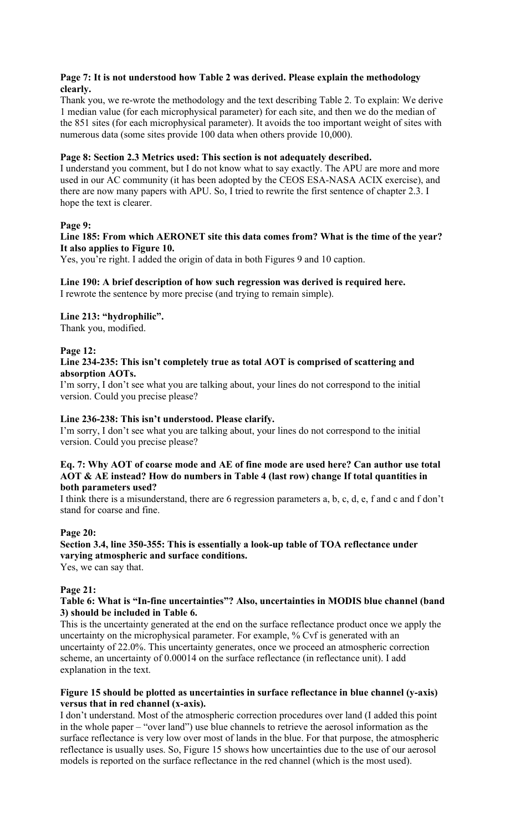# **Page 7: It is not understood how Table 2 was derived. Please explain the methodology clearly.**

Thank you, we re-wrote the methodology and the text describing Table 2. To explain: We derive 1 median value (for each microphysical parameter) for each site, and then we do the median of the 851 sites (for each microphysical parameter). It avoids the too important weight of sites with numerous data (some sites provide 100 data when others provide 10,000).

# **Page 8: Section 2.3 Metrics used: This section is not adequately described.**

I understand you comment, but I do not know what to say exactly. The APU are more and more used in our AC community (it has been adopted by the CEOS ESA-NASA ACIX exercise), and there are now many papers with APU. So, I tried to rewrite the first sentence of chapter 2.3. I hope the text is clearer.

# **Page 9:**

# **Line 185: From which AERONET site this data comes from? What is the time of the year? It also applies to Figure 10.**

Yes, you're right. I added the origin of data in both Figures 9 and 10 caption.

### **Line 190: A brief description of how such regression was derived is required here.** I rewrote the sentence by more precise (and trying to remain simple).

# **Line 213: "hydrophilic".**

Thank you, modified.

### **Page 12:**

### **Line 234-235: This isn't completely true as total AOT is comprised of scattering and absorption AOTs.**

I'm sorry, I don't see what you are talking about, your lines do not correspond to the initial version. Could you precise please?

### **Line 236-238: This isn't understood. Please clarify.**

I'm sorry, I don't see what you are talking about, your lines do not correspond to the initial version. Could you precise please?

### **Eq. 7: Why AOT of coarse mode and AE of fine mode are used here? Can author use total AOT & AE instead? How do numbers in Table 4 (last row) change If total quantities in both parameters used?**

I think there is a misunderstand, there are 6 regression parameters a, b, c, d, e, f and c and f don't stand for coarse and fine.

### **Page 20:**

# **Section 3.4, line 350-355: This is essentially a look-up table of TOA reflectance under varying atmospheric and surface conditions.**

Yes, we can say that.

### **Page 21:**

### **Table 6: What is "In-fine uncertainties"? Also, uncertainties in MODIS blue channel (band 3) should be included in Table 6.**

This is the uncertainty generated at the end on the surface reflectance product once we apply the uncertainty on the microphysical parameter. For example, % Cvf is generated with an uncertainty of 22.0%. This uncertainty generates, once we proceed an atmospheric correction scheme, an uncertainty of 0.00014 on the surface reflectance (in reflectance unit). I add explanation in the text.

### **Figure 15 should be plotted as uncertainties in surface reflectance in blue channel (y-axis) versus that in red channel (x-axis).**

I don't understand. Most of the atmospheric correction procedures over land (I added this point in the whole paper – "over land") use blue channels to retrieve the aerosol information as the surface reflectance is very low over most of lands in the blue. For that purpose, the atmospheric reflectance is usually uses. So, Figure 15 shows how uncertainties due to the use of our aerosol models is reported on the surface reflectance in the red channel (which is the most used).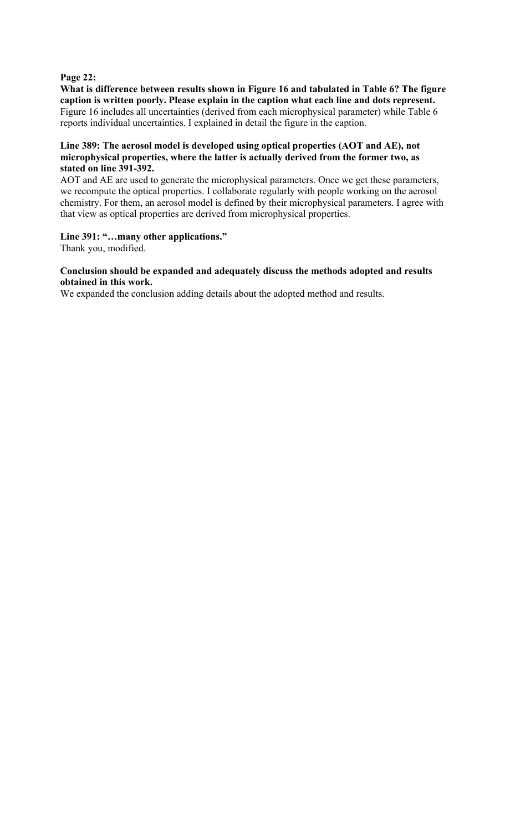### **Page 22:**

**What is difference between results shown in Figure 16 and tabulated in Table 6? The figure caption is written poorly. Please explain in the caption what each line and dots represent.** Figure 16 includes all uncertainties (derived from each microphysical parameter) while Table 6 reports individual uncertainties. I explained in detail the figure in the caption.

### **Line 389: The aerosol model is developed using optical properties (AOT and AE), not microphysical properties, where the latter is actually derived from the former two, as stated on line 391-392.**

AOT and AE are used to generate the microphysical parameters. Once we get these parameters, we recompute the optical properties. I collaborate regularly with people working on the aerosol chemistry. For them, an aerosol model is defined by their microphysical parameters. I agree with that view as optical properties are derived from microphysical properties.

### **Line 391: "…many other applications."**

Thank you, modified.

### **Conclusion should be expanded and adequately discuss the methods adopted and results obtained in this work.**

We expanded the conclusion adding details about the adopted method and results.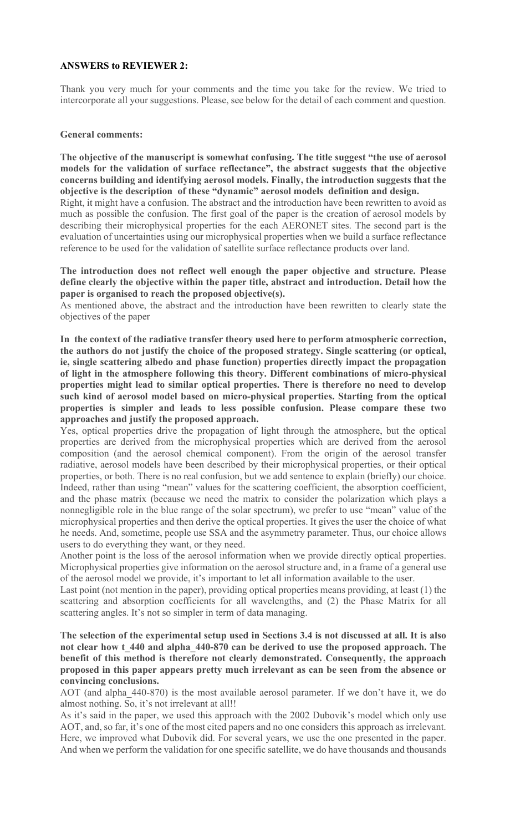#### **ANSWERS to REVIEWER 2:**

Thank you very much for your comments and the time you take for the review. We tried to intercorporate all your suggestions. Please, see below for the detail of each comment and question.

### **General comments:**

**The objective of the manuscript is somewhat confusing. The title suggest "the use of aerosol models for the validation of surface reflectance", the abstract suggests that the objective concerns building and identifying aerosol models. Finally, the introduction suggests that the objective is the description of these "dynamic" aerosol models definition and design.**

Right, it might have a confusion. The abstract and the introduction have been rewritten to avoid as much as possible the confusion. The first goal of the paper is the creation of aerosol models by describing their microphysical properties for the each AERONET sites. The second part is the evaluation of uncertainties using our microphysical properties when we build a surface reflectance reference to be used for the validation of satellite surface reflectance products over land.

**The introduction does not reflect well enough the paper objective and structure. Please define clearly the objective within the paper title, abstract and introduction. Detail how the paper is organised to reach the proposed objective(s).**

As mentioned above, the abstract and the introduction have been rewritten to clearly state the objectives of the paper

**In the context of the radiative transfer theory used here to perform atmospheric correction, the authors do not justify the choice of the proposed strategy. Single scattering (or optical, ie, single scattering albedo and phase function) properties directly impact the propagation of light in the atmosphere following this theory. Different combinations of micro-physical properties might lead to similar optical properties. There is therefore no need to develop such kind of aerosol model based on micro-physical properties. Starting from the optical properties is simpler and leads to less possible confusion. Please compare these two approaches and justify the proposed approach.**

Yes, optical properties drive the propagation of light through the atmosphere, but the optical properties are derived from the microphysical properties which are derived from the aerosol composition (and the aerosol chemical component). From the origin of the aerosol transfer radiative, aerosol models have been described by their microphysical properties, or their optical properties, or both. There is no real confusion, but we add sentence to explain (briefly) our choice. Indeed, rather than using "mean" values for the scattering coefficient, the absorption coefficient, and the phase matrix (because we need the matrix to consider the polarization which plays a nonnegligible role in the blue range of the solar spectrum), we prefer to use "mean" value of the microphysical properties and then derive the optical properties. It gives the user the choice of what he needs. And, sometime, people use SSA and the asymmetry parameter. Thus, our choice allows users to do everything they want, or they need.

Another point is the loss of the aerosol information when we provide directly optical properties. Microphysical properties give information on the aerosol structure and, in a frame of a general use of the aerosol model we provide, it's important to let all information available to the user.

Last point (not mention in the paper), providing optical properties means providing, at least (1) the scattering and absorption coefficients for all wavelengths, and (2) the Phase Matrix for all scattering angles. It's not so simpler in term of data managing.

**The selection of the experimental setup used in Sections 3.4 is not discussed at all. It is also not clear how t\_440 and alpha\_440-870 can be derived to use the proposed approach. The benefit of this method is therefore not clearly demonstrated. Consequently, the approach proposed in this paper appears pretty much irrelevant as can be seen from the absence or convincing conclusions.**

AOT (and alpha\_440-870) is the most available aerosol parameter. If we don't have it, we do almost nothing. So, it's not irrelevant at all!!

As it's said in the paper, we used this approach with the 2002 Dubovik's model which only use AOT, and, so far, it's one of the most cited papers and no one considers this approach as irrelevant. Here, we improved what Dubovik did. For several years, we use the one presented in the paper. And when we perform the validation for one specific satellite, we do have thousands and thousands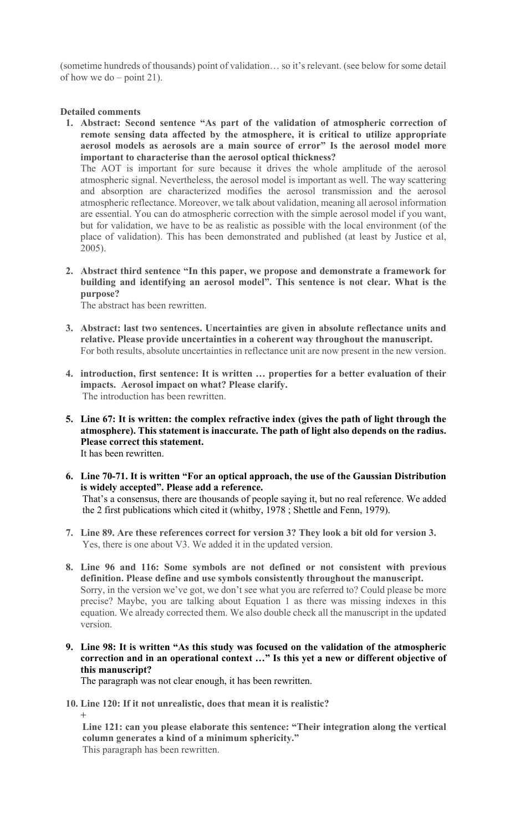(sometime hundreds of thousands) point of validation… so it's relevant. (see below for some detail of how we do – point 21).

### **Detailed comments**

**1. Abstract: Second sentence "As part of the validation of atmospheric correction of remote sensing data affected by the atmosphere, it is critical to utilize appropriate aerosol models as aerosols are a main source of error" Is the aerosol model more important to characterise than the aerosol optical thickness?**

The AOT is important for sure because it drives the whole amplitude of the aerosol atmospheric signal. Nevertheless, the aerosol model is important as well. The way scattering and absorption are characterized modifies the aerosol transmission and the aerosol atmospheric reflectance. Moreover, we talk about validation, meaning all aerosol information are essential. You can do atmospheric correction with the simple aerosol model if you want, but for validation, we have to be as realistic as possible with the local environment (of the place of validation). This has been demonstrated and published (at least by Justice et al, 2005).

**2. Abstract third sentence "In this paper, we propose and demonstrate a framework for building and identifying an aerosol model". This sentence is not clear. What is the purpose?**

The abstract has been rewritten.

- **3. Abstract: last two sentences. Uncertainties are given in absolute reflectance units and relative. Please provide uncertainties in a coherent way throughout the manuscript.** For both results, absolute uncertainties in reflectance unit are now present in the new version.
- **4. introduction, first sentence: It is written … properties for a better evaluation of their impacts. Aerosol impact on what? Please clarify.** The introduction has been rewritten.
- **5. Line 67: It is written: the complex refractive index (gives the path of light through the atmosphere). This statement is inaccurate. The path of light also depends on the radius. Please correct this statement.** It has been rewritten.

**6. Line 70-71. It is written "For an optical approach, the use of the Gaussian Distribution is widely accepted". Please add a reference.**

That's a consensus, there are thousands of people saying it, but no real reference. We added the 2 first publications which cited it (whitby, 1978 ; Shettle and Fenn, 1979).

- **7. Line 89. Are these references correct for version 3? They look a bit old for version 3.** Yes, there is one about V3. We added it in the updated version.
- **8. Line 96 and 116: Some symbols are not defined or not consistent with previous definition. Please define and use symbols consistently throughout the manuscript.** Sorry, in the version we've got, we don't see what you are referred to? Could please be more precise? Maybe, you are talking about Equation 1 as there was missing indexes in this equation. We already corrected them. We also double check all the manuscript in the updated version.
- **9. Line 98: It is written "As this study was focused on the validation of the atmospheric correction and in an operational context …" Is this yet a new or different objective of this manuscript?**

The paragraph was not clear enough, it has been rewritten.

**10. Line 120: If it not unrealistic, does that mean it is realistic? +**

**Line 121: can you please elaborate this sentence: "Their integration along the vertical column generates a kind of a minimum sphericity."** This paragraph has been rewritten.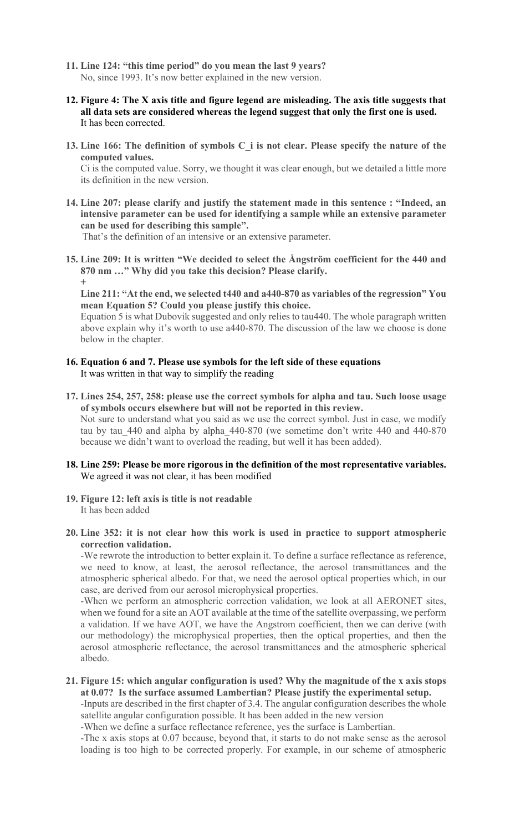- **11. Line 124: "this time period" do you mean the last 9 years?** No, since 1993. It's now better explained in the new version.
- **12. Figure 4: The X axis title and figure legend are misleading. The axis title suggests that all data sets are considered whereas the legend suggest that only the first one is used.** It has been corrected.
- **13. Line 166: The definition of symbols C\_i is not clear. Please specify the nature of the computed values.**

Ci is the computed value. Sorry, we thought it was clear enough, but we detailed a little more its definition in the new version.

**14. Line 207: please clarify and justify the statement made in this sentence : "Indeed, an intensive parameter can be used for identifying a sample while an extensive parameter can be used for describing this sample".**

That's the definition of an intensive or an extensive parameter.

**15. Line 209: It is written "We decided to select the Ångström coefficient for the 440 and 870 nm …" Why did you take this decision? Please clarify. +**

**Line 211: "At the end, we selected t440 and a440-870 as variables of the regression" You mean Equation 5? Could you please justify this choice.**

Equation 5 is what Dubovik suggested and only relies to tau440. The whole paragraph written above explain why it's worth to use a440-870. The discussion of the law we choose is done below in the chapter.

- **16. Equation 6 and 7. Please use symbols for the left side of these equations** It was written in that way to simplify the reading
- **17. Lines 254, 257, 258: please use the correct symbols for alpha and tau. Such loose usage of symbols occurs elsewhere but will not be reported in this review.** Not sure to understand what you said as we use the correct symbol. Just in case, we modify tau by tau 440 and alpha by alpha 440-870 (we sometime don't write 440 and 440-870 because we didn't want to overload the reading, but well it has been added).
- **18. Line 259: Please be more rigorous in the definition of the most representative variables.** We agreed it was not clear, it has been modified
- **19. Figure 12: left axis is title is not readable** It has been added
- **20. Line 352: it is not clear how this work is used in practice to support atmospheric correction validation.**

-We rewrote the introduction to better explain it. To define a surface reflectance as reference, we need to know, at least, the aerosol reflectance, the aerosol transmittances and the atmospheric spherical albedo. For that, we need the aerosol optical properties which, in our case, are derived from our aerosol microphysical properties.

-When we perform an atmospheric correction validation, we look at all AERONET sites, when we found for a site an AOT available at the time of the satellite overpassing, we perform a validation. If we have AOT, we have the Angstrom coefficient, then we can derive (with our methodology) the microphysical properties, then the optical properties, and then the aerosol atmospheric reflectance, the aerosol transmittances and the atmospheric spherical albedo.

#### **21. Figure 15: which angular configuration is used? Why the magnitude of the x axis stops at 0.07? Is the surface assumed Lambertian? Please justify the experimental setup.**

-Inputs are described in the first chapter of 3.4. The angular configuration describes the whole satellite angular configuration possible. It has been added in the new version

-When we define a surface reflectance reference, yes the surface is Lambertian.

-The x axis stops at 0.07 because, beyond that, it starts to do not make sense as the aerosol loading is too high to be corrected properly. For example, in our scheme of atmospheric